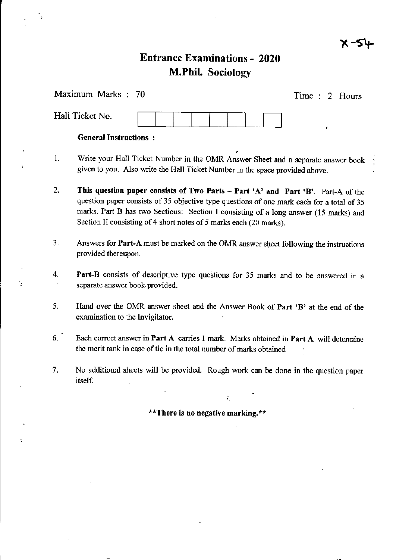$x - 54$ 

,

# **Entrance Examinations - 2020** M.Phil. Sociology

| Maximum Marks: 70            | Time : 2 Hours |
|------------------------------|----------------|
| Hall Ticket No.              |                |
| <b>General Instructions:</b> |                |

- 1. Write your Hall Ticket Number in the OMR Answer Sheet and a separate answer book given to you. Also write the Hall Ticket Number in the space provided above.
- 2. This question paper consists of Two Parts Part 'A' and Part 'B'. Part-A of the question paper consists of 35 objective type questions of one mark each for a total of 35 marks. Part B has two Sections: Section I consisting of a long answer (15 marks) and Section II consisting of 4 short notes of 5 marks each (20 marks).
- 3. Answers for Part-A must be marked on the OMR answer sheel following the instuctions provided thereupon.
- 4. Part-B consists of descriptive type questions for 35 marks and to be answered in a separate answer book provided.
- 5. Hand over the OMR answer sheet and the Answer Book of Part 'B' at the end of the examination to the lnvigilator.
- 6. Each correct answer in Part A carries 1 mark. Marks obtained in Part A will determine the merit rank in case of tie in the total number of marks obtained
- 7. No additional sheets will be provided. Rough work can be done in the question paper itself.

\*\*There is no negative marking.\*\*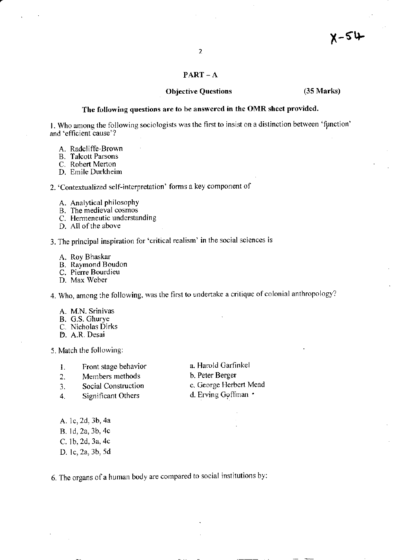#### $PART - A$

## Objective Questions (35 Marks)

### The following questions are to be answered in the OMR sheet provided.

l. Who among the following sociologists was the first to insist on a distinction between 'ffnction' and'efficient cause'?

- A. Radcliffe-Brown
- B. Talcott Parsons
- C. Robert Merton

D. Emile Durkheim

2. 'Contextualized self-interpretation' forms a key component of

- A. Analytical philosophY
- B. The medieval cosmos
- C. Hermeneutic understanding
- D. All of the above

3. The principal inspiration for'critical real;sm' in the social sciences is

- A. Roy Bhaskar
- B. Ravmond Boudon
- C. Piene Bourdieu
- D. Max Weher

4. Who, among the following, was the first to undertake a critique of colonial anthropology?

- A. M.N. Srinivas
- B. G.S. Ghurye
- C. Nicholas Dirks
- D. A.R. Desai

5. Match the following:

- 
- 2. Members methods<br>3. Social Construction
- 3. Social Construction c. George Herbert Mead<br>
4. Significant Others d. Erving Goffman •
- 4. Significant Others
- 1. Front stage behavior a. Harold Garfinkel<br>
2 Members methods b. Peter Berger
	-
	-

- A. 1c,2d,3b,4a B. ld,2a,3b,4c C. lb,2d, 3a,4c
- D. lc,2a, 3b, 5d

6. The organs of a human body are compared to social institutions by: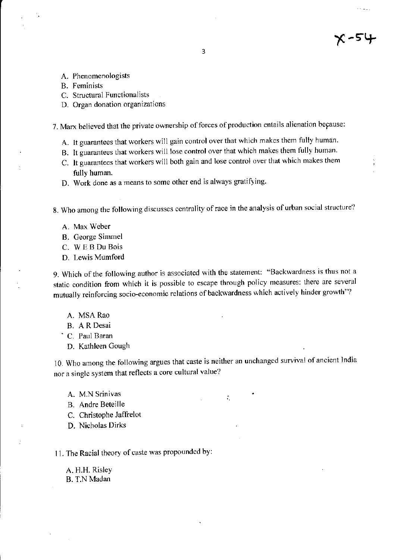- A. Phenomenologists
- B. Feminists
- C. Structural Functionalists
- D. Organ donation organizations

7. Marx believed that the private ownership of forces of production entails alienation because:

- A. It guarantees that workers will gain control over that which makes them fully human.
- B. It guarantees that workers will lose control over that which makes them fully human.
- C. It guarantees that workers will both gain and lose control over that which makes them fully human.
- D. work done as a means to some other end is always gratifying

8. Who among the following discusses centrality of race in the analysis of urban social structure?

- A. Max Weber
- B. George Simmel
- C. W EB Du Bois
- D. Lewis Mumford

9. Which of the following author is associated with the statement: "Backwardness is thus not a static condition from which it is possible to escape through policy measures: there are several mutually reinforcing socio-economic relations of backwardness which actively hinder growth"?

- A. MSA Rao
- B. A R Desai
- C. Paul Baran
- D. Kathleen Gough

10. Who among the following argues that caste is neither an unchanged survival of ancient India nor a single system that reflects a core cultural value?

÷.

- A. M.N Srinivas
- B. Andre Beteille
- C. Christophe Jaffrelot
- D. Nicholas Dirks

11. The Racial theory of caste was propounded by:

A. H.H. Risley B. T.N Madan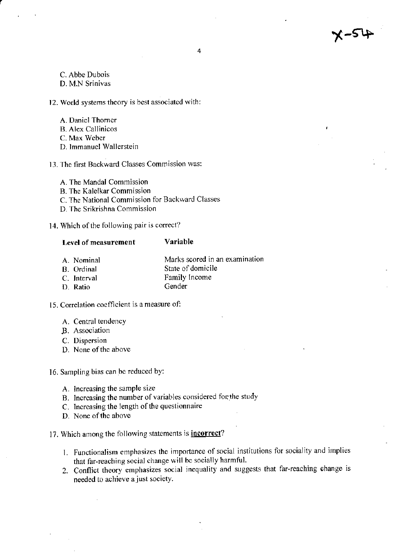4-54ع

4

C. Abbe Dubois D. M.N Srinivas

12. World systems theory is best associated with:

- A. Daniel Thorner
- **B.** Alex Callinicos
- C. Max Weber
- D. Immanuel Wallerstein
- 13. The first Backward Classes Commission was:
	- A. The Mandal Commission
	- **B.** The Kalelkar Commission
	- C. The National Commission for Backward Classes
	- D. The Srikrishna Commission
- 14. Which of the following pair is correct?

#### Variable **Level of measurement**

- Marks scored in an examination A. Nominal
- State of domicile B. Ordinal
- Family Income C. Interval Gender
- D. Ratio
- 15. Correlation coefficient is a measure of:
	- A. Central tendency
	- B. Association
	- C. Dispersion
	- D. None of the above
- 16. Sampling bias can be reduced by:
	- A. Increasing the sample size
	- B. Increasing the number of variables considered for the study
	- C. Increasing the length of the questionnaire
	- D. None of the above
- 17. Which among the following statements is *incorrect*?
	- 1. Functionalism emphasizes the importance of social institutions for sociality and implies that far-reaching social change will be socially harmful.
	- 2. Conflict theory emphasizes social inequality and suggests that far-reaching change is needed to achieve a just society.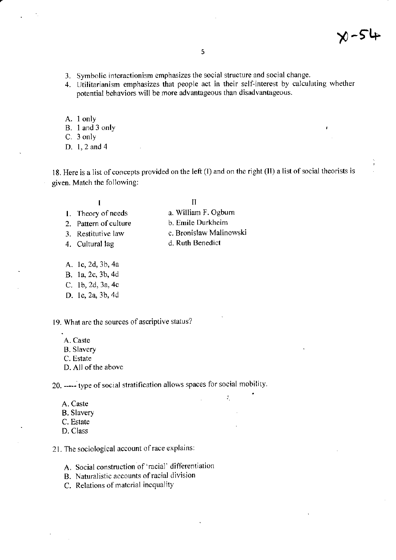**N-54** 

- 3. Symbolic interactionism emphasizes the social structure and social change.
- 4. Utilitarianism emphasizes that people act in their self-interest by calculating whether potential behaviors will be more advantageous than disadvantageous.
- A. 1 only
- B. 1 and 3 only
- C. 3 only
- D. 1, 2 and 4

18. Here is a list of concepts provided on the left (I) and on the right (II) a list of social theorists is given. Match the following:

#### $\mathbf{I}$

#### $\mathbf{H}$

- 1. Theory of needs 2. Pattern of culture
- 3. Restitutive law
- 4. Cultural lag
- b. Emile Durkheim c. Bronisław Malinowski

Ź,

a. William F. Ogburn

- d. Ruth Benedict
- A. 1c, 2d, 3b, 4a
- B. 1a, 2c, 3b, 4d
- C. 1b, 2d, 3a, 4c
- D. 1c, 2a, 3b, 4d
- 19. What are the sources of ascriptive status?
	- A. Caste
	- **B.** Slavery
	- C. Estate
	- D. All of the above

20. ----- type of social stratification allows spaces for social mobility.

- A. Caste
- **B.** Slavery
- C. Estate
- D. Class

21. The sociological account of race explains:

- A. Social construction of 'racial' differentiation
- B. Naturalistic accounts of racial division
- C. Relations of material inequality

#### $\overline{\mathbf{S}}$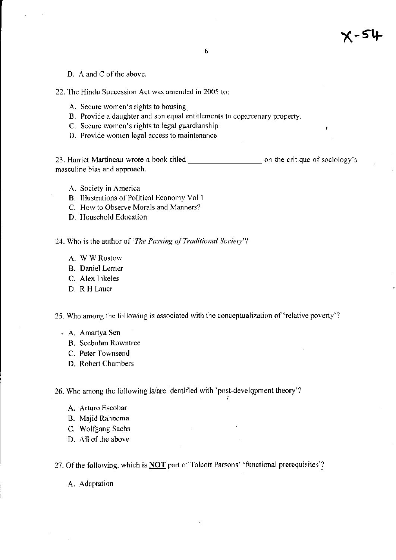D. A and C of the above.

22. The Hindu Succession Act was amended in 2005 to:

- A. Secure women's rights to housing
- B. Provide a daughter and son equal entitlements to coparcenary property.
- C. Secure women's rights to legal guardianship
- D. Provide women legal access to maintenance

23. Harriet Martineau wrote a book titled \_\_\_\_\_\_\_\_\_\_\_\_\_\_\_\_\_\_\_\_\_\_\_\_ on the critique of sociology's masculine bias and approach.

- A. Society in America
- B. Illustrations of Political Economy Vol 1
- C. How to Observe Morals and Manners?
- D. Household Education
- 24. Who is the author of 'The Passing of Traditional Society'?
	- A. W W Rostow
	- B. Daniel Lemer
	- C. Alex Inkeles
	- D. R H Lauer

25. Who among the following is associated with the conceptualization of 'relative poverty'?

- . A. Amartya Sen
	- B. Seebohm Rowntree
	- C. Peter Townsend
	- D. Robert Cbambers

26. Who among the following is/are identified with 'post-develqpment theory'?

- A. Arturo Escobar
- B. Majid Rahnema
- C. Wolfgang Sachs
- D. All of the above

27. Of the following, which is **NOT** part of Talcott Parsons' 'functional prerequisites'?

A. Adaptation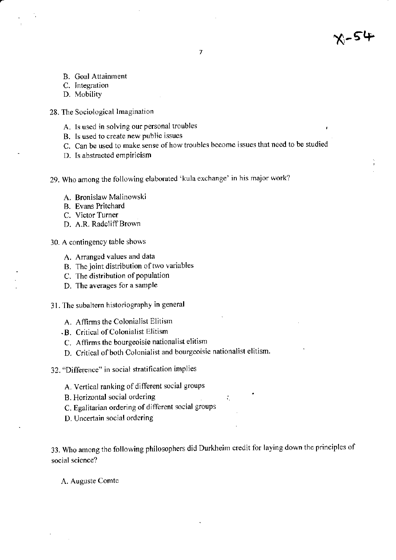- 
- B. Goal Attainment
- C. Integration
- D. Mobility
- 28. The Sociological Imagination
	- A. ls used in solving our personal troubles
	- B. Is used to create new public issues
	- C. Can be used to make sense of how troubles become issues that need to be studied

1

- D. Is abstracted empiricism
- 29. Who among the following elaborated 'kula exchange' in his major work?
	- A. Bronislaw Malinowski
	- B. Evans Pritchard
	- C. Victor Turner
	- D. A.R. Radcliff Brown
- 30. A contingency table shows
	- A. Arranged values and data
	- B. The joint distribution of two variables
	- C. The distribution of population
	- D. The avemges for a sample
- 31. The subaltern historiography in general
	- A. Affirms the Colonialist Elitism
	- .B. Critical of Colonialist Elitism
	- C. Affrrms the bourgeoisie nationalist elitism
	- D. Critical of both Colonialist and bourgeoisie nationalist elitism.
- 32. "Difference" in social stratification implies
	- A. Vertical ranking of different social groups
	- B. Horizontal social ordering in the state of the state of the state of the state of the state of the state of the state of the state of the state of the state of the state of the state of the state of the state of the sta
	- C. Egalitarian ordering of different social groups
	- D. Uncertain social ordering

33. Who among the following philosophers did Durkheim credit for laying down the principles of social science?

A. Auguste Comte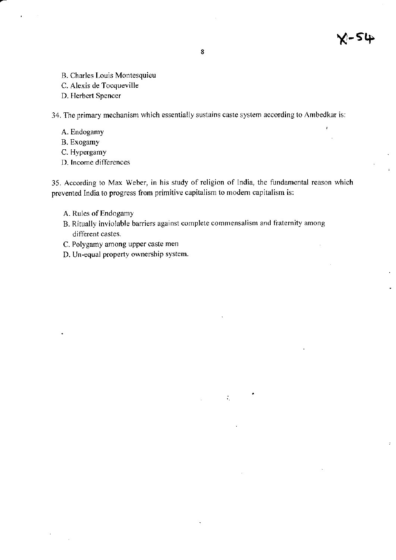- B. Charles Louis Montesquieu
- C. Alexis de Tocqueville
- D. Herbert Spencer

34. The primary mechanism which essentially sustains caste system according to Ambedkar is:

- A. Endogamy
- B. Exogamy
- C. Hypergamy
- D. Income differences

35. According to Max Weber, in his study of religion of India, the fundamental reason which prevented India to progress from primitive capitalism to modern capitalism is:

 $\mathcal{L}_{\mathcal{L}}$ 

- A. Rules of Endogamy
- B. Ritually inviolable barriers against complete commensalism and fraternity among different castes.
- C. Polygamy among upper caste men
- D. Un-equal property ownership system.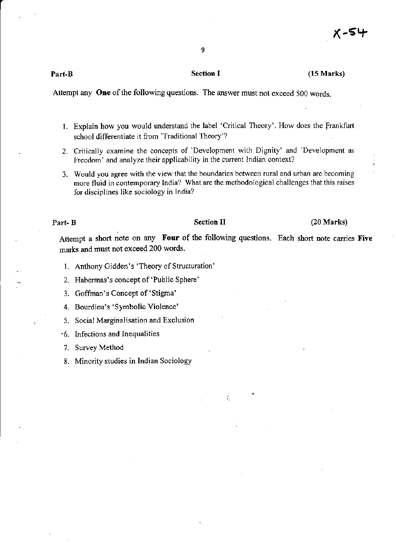9

#### (15 Marks)

Attempt any One of the following questions. The answer must not exceed 500 words.

- 1. Explain how you would understand the label 'Critical Theory'. How does the Frankfurt school differentiate it from 'Traditional Theory'?
- 2. Critically examine the concepts of 'Development with Dignity' and 'Development as Freedom' and analyze their applicability in the curent Indian context?
- 3. Would you agree with the view that the boundaries between ruml and urban are becoming more fluid in contemporary India? What are the methodological challenges that this raises for disciplines like sociology in lndia?

Part- B Section II (20 Marks)

Attempt a short note on any Four of the following questions. Each short note carries Five marks and must not exceed 200 words.

÷.

- 1. Anthony Gidden's 'Theory of Structuration'
- 2. Habermas's concept of 'Public Sphere'
- 3. Goffman's Concept of 'Stigma'
- 4. Bourdieu's 'Symbolic Violence'
- . 5. Social Marginalisation and Exclusion
- '6. Infections and lnequalities
- 7. Survey Method
- 8. Minority studies in Indian Sociology